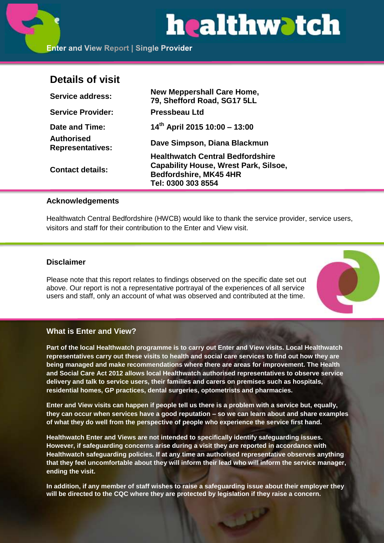# healthwatch

**Enter and View Report | Single Provider** 

# **Details of visit**

| <b>Service address:</b>               | <b>New Meppershall Care Home,</b><br>79, Shefford Road, SG17 5LL |
|---------------------------------------|------------------------------------------------------------------|
| <b>Service Provider:</b>              | <b>Pressbeau Ltd</b>                                             |
| Date and Time:                        | $14th$ April 2015 10:00 - 13:00                                  |
| Authorised<br><b>Representatives:</b> | Dave Simpson, Diana Blackmun                                     |
|                                       | <b>Healthwatch Central Bedfordshire</b>                          |
| <b>Contact details:</b>               | <b>Capability House, Wrest Park, Silsoe,</b>                     |
|                                       | Bedfordshire, MK45 4HR                                           |
|                                       | Tel: 0300 303 8554                                               |

# **Acknowledgements**

Healthwatch Central Bedfordshire (HWCB) would like to thank the service provider, service users, visitors and staff for their contribution to the Enter and View visit.

# **Disclaimer**

Please note that this report relates to findings observed on the specific date set out above. Our report is not a representative portrayal of the experiences of all service users and staff, only an account of what was observed and contributed at the time.



# **What is Enter and View?**

**Part of the local Healthwatch programme is to carry out Enter and View visits. Local Healthwatch representatives carry out these visits to health and social care services to find out how they are being managed and make recommendations where there are areas for improvement. The Health and Social Care Act 2012 allows local Healthwatch authorised representatives to observe service delivery and talk to service users, their families and carers on premises such as hospitals, residential homes, GP practices, dental surgeries, optometrists and pharmacies.** 

**Enter and View visits can happen if people tell us there is a problem with a service but, equally, they can occur when services have a good reputation – so we can learn about and share examples of what they do well from the perspective of people who experience the service first hand.**

**Healthwatch Enter and Views are not intended to specifically identify safeguarding issues. However, if safeguarding concerns arise during a visit they are reported in accordance with Healthwatch safeguarding policies. If at any time an authorised representative observes anything that they feel uncomfortable about they will inform their lead who will inform the service manager, ending the visit.** 

**In addition, if any member of staff wishes to raise a safeguarding issue about their employer they will be directed to the CQC where they are protected by legislation if they raise a concern.**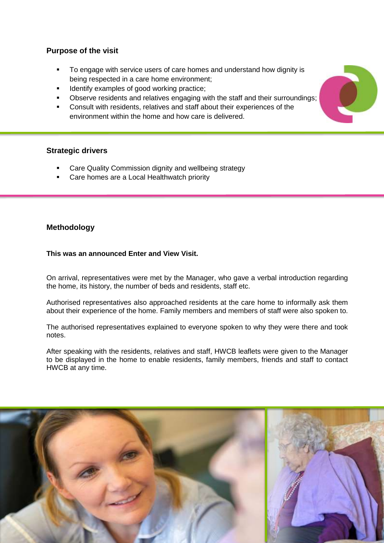# **Purpose of the visit**

- To engage with service users of care homes and understand how dignity is being respected in a care home environment;
- Identify examples of good working practice;
- Observe residents and relatives engaging with the staff and their surroundings;
- Consult with residents, relatives and staff about their experiences of the environment within the home and how care is delivered.

# **Strategic drivers**

- Care Quality Commission dignity and wellbeing strategy
- Care homes are a Local Healthwatch priority

# **Methodology**

#### **This was an announced Enter and View Visit.**

On arrival, representatives were met by the Manager, who gave a verbal introduction regarding the home, its history, the number of beds and residents, staff etc.

Authorised representatives also approached residents at the care home to informally ask them about their experience of the home. Family members and members of staff were also spoken to.

The authorised representatives explained to everyone spoken to why they were there and took notes.

After speaking with the residents, relatives and staff, HWCB leaflets were given to the Manager to be displayed in the home to enable residents, family members, friends and staff to contact HWCB at any time.



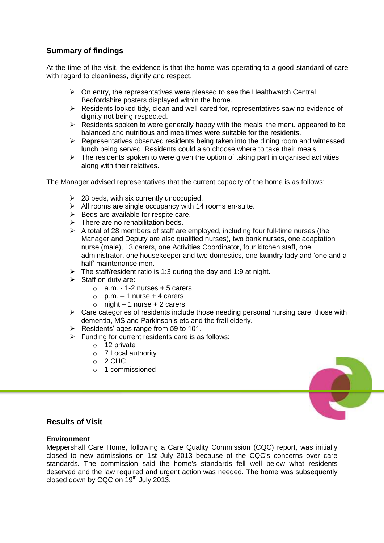# **Summary of findings**

At the time of the visit, the evidence is that the home was operating to a good standard of care with regard to cleanliness, dignity and respect.

- $\triangleright$  On entry, the representatives were pleased to see the Healthwatch Central Bedfordshire posters displayed within the home.
- $\triangleright$  Residents looked tidy, clean and well cared for, representatives saw no evidence of dignity not being respected.
- $\triangleright$  Residents spoken to were generally happy with the meals; the menu appeared to be balanced and nutritious and mealtimes were suitable for the residents.
- $\triangleright$  Representatives observed residents being taken into the dining room and witnessed lunch being served. Residents could also choose where to take their meals.
- $\triangleright$  The residents spoken to were given the option of taking part in organised activities along with their relatives.

The Manager advised representatives that the current capacity of the home is as follows:

- $\geq$  28 beds, with six currently unoccupied.
- $\triangleright$  All rooms are single occupancy with 14 rooms en-suite.
- $\triangleright$  Beds are available for respite care.
- $\triangleright$  There are no rehabilitation beds.
- $\triangleright$  A total of 28 members of staff are employed, including four full-time nurses (the Manager and Deputy are also qualified nurses), two bank nurses, one adaptation nurse (male), 13 carers, one Activities Coordinator, four kitchen staff, one administrator, one housekeeper and two domestics, one laundry lady and 'one and a half' maintenance men.
- $\triangleright$  The staff/resident ratio is 1:3 during the day and 1:9 at night.
- $\triangleright$  Staff on duty are:
	- $\circ$  a.m. 1-2 nurses + 5 carers
	- $\circ$  p.m. 1 nurse + 4 carers
	- $\circ$  night 1 nurse + 2 carers
- $\triangleright$  Care categories of residents include those needing personal nursing care, those with dementia, MS and Parkinson's etc and the frail elderly.
- $\triangleright$  Residents' ages range from 59 to 101.
- $\triangleright$  Funding for current residents care is as follows:
	- o 12 private
	- o 7 Local authority
	- $O<sub>2</sub>$  CHC
	- o 1 commissioned



# **Results of Visit**

#### **Environment**

Meppershall Care Home, following a Care Quality Commission (CQC) report, was initially closed to new admissions on 1st July 2013 because of the CQC's concerns over care standards. The commission said the home's standards fell well below what residents deserved and the law required and urgent action was needed. The home was subsequently closed down by CQC on  $19<sup>th</sup>$  July 2013.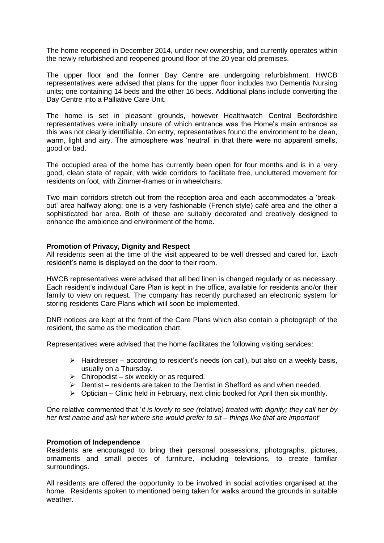The home reopened in December 2014, under new ownership, and currently operates within the newly refurbished and reopened ground floor of the 20 year old premises.

The upper floor and the former Day Centre are undergoing refurbishment. HWCB representatives were advised that plans for the upper floor includes two Dementia Nursing units; one containing 14 beds and the other 16 beds. Additional plans include converting the Day Centre into a Palliative Care Unit.

The home is set in pleasant grounds, however Healthwatch Central Bedfordshire representatives were initially unsure of which entrance was the Home's main entrance as this was not clearly identifiable. On entry, representatives found the environment to be clean, warm, light and airy. The atmosphere was 'neutral' in that there were no apparent smells, good or bad.

The occupied area of the home has currently been open for four months and is in a very good, clean state of repair, with wide corridors to facilitate free, uncluttered movement for residents on foot, with Zimmer-frames or in wheelchairs.

Two main corridors stretch out from the reception area and each accommodates a 'breakout' area halfway along; one is a very fashionable (French style) café area and the other a sophisticated bar area. Both of these are suitably decorated and creatively designed to enhance the ambience and environment of the home.

#### **Promotion of Privacy, Dignity and Respect**

All residents seen at the time of the visit appeared to be well dressed and cared for. Each resident's name is displayed on the door to their room.

HWCB representatives were advised that all bed linen is changed regularly or as necessary. Each resident's individual Care Plan is kept in the office, available for residents and/or their family to view on request. The company has recently purchased an electronic system for storing residents Care Plans which will soon be implemented.

DNR notices are kept at the front of the Care Plans which also contain a photograph of the resident, the same as the medication chart.

Representatives were advised that the home facilitates the following visiting services:

- $\triangleright$  Hairdresser according to resident's needs (on call), but also on a weekly basis, usually on a Thursday.
- $\triangleright$  Chiropodist six weekly or as required.
- $\triangleright$  Dentist residents are taken to the Dentist in Shefford as and when needed.
- $\triangleright$  Optician Clinic held in February, next clinic booked for April then six monthly.

One relative commented that '*it is lovely to see (*relative*) treated with dignity; they call her by her first name and ask her where she would prefer to sit – things like that are important'*

#### **Promotion of Independence**

Residents are encouraged to bring their personal possessions, photographs, pictures, ornaments and small pieces of furniture, including televisions, to create familiar surroundings.

All residents are offered the opportunity to be involved in social activities organised at the home. Residents spoken to mentioned being taken for walks around the grounds in suitable weather.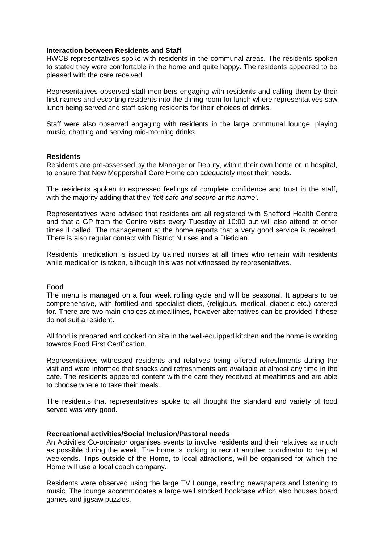#### **Interaction between Residents and Staff**

HWCB representatives spoke with residents in the communal areas. The residents spoken to stated they were comfortable in the home and quite happy. The residents appeared to be pleased with the care received.

Representatives observed staff members engaging with residents and calling them by their first names and escorting residents into the dining room for lunch where representatives saw lunch being served and staff asking residents for their choices of drinks.

Staff were also observed engaging with residents in the large communal lounge, playing music, chatting and serving mid-morning drinks.

#### **Residents**

Residents are pre-assessed by the Manager or Deputy, within their own home or in hospital, to ensure that New Meppershall Care Home can adequately meet their needs.

The residents spoken to expressed feelings of complete confidence and trust in the staff, with the majority adding that they *'felt safe and secure at the home'*.

Representatives were advised that residents are all registered with Shefford Health Centre and that a GP from the Centre visits every Tuesday at 10:00 but will also attend at other times if called. The management at the home reports that a very good service is received. There is also regular contact with District Nurses and a Dietician.

Residents' medication is issued by trained nurses at all times who remain with residents while medication is taken, although this was not witnessed by representatives.

#### **Food**

The menu is managed on a four week rolling cycle and will be seasonal. It appears to be comprehensive, with fortified and specialist diets, (religious, medical, diabetic etc.) catered for. There are two main choices at mealtimes, however alternatives can be provided if these do not suit a resident.

All food is prepared and cooked on site in the well-equipped kitchen and the home is working towards Food First Certification.

Representatives witnessed residents and relatives being offered refreshments during the visit and were informed that snacks and refreshments are available at almost any time in the café. The residents appeared content with the care they received at mealtimes and are able to choose where to take their meals.

The residents that representatives spoke to all thought the standard and variety of food served was very good.

#### **Recreational activities/Social Inclusion/Pastoral needs**

An Activities Co-ordinator organises events to involve residents and their relatives as much as possible during the week. The home is looking to recruit another coordinator to help at weekends. Trips outside of the Home, to local attractions, will be organised for which the Home will use a local coach company.

Residents were observed using the large TV Lounge, reading newspapers and listening to music. The lounge accommodates a large well stocked bookcase which also houses board games and jigsaw puzzles.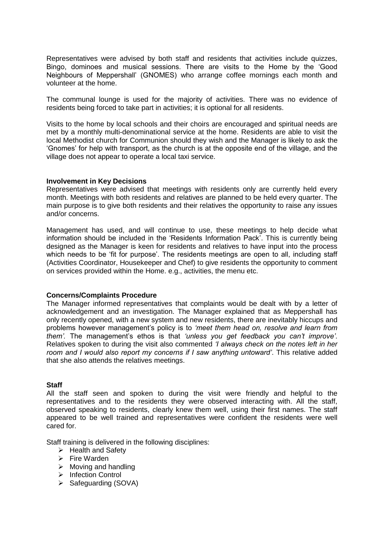Representatives were advised by both staff and residents that activities include quizzes, Bingo, dominoes and musical sessions. There are visits to the Home by the 'Good Neighbours of Meppershall' (GNOMES) who arrange coffee mornings each month and volunteer at the home.

The communal lounge is used for the majority of activities. There was no evidence of residents being forced to take part in activities; it is optional for all residents.

Visits to the home by local schools and their choirs are encouraged and spiritual needs are met by a monthly multi-denominational service at the home. Residents are able to visit the local Methodist church for Communion should they wish and the Manager is likely to ask the 'Gnomes' for help with transport, as the church is at the opposite end of the village, and the village does not appear to operate a local taxi service.

#### **Involvement in Key Decisions**

Representatives were advised that meetings with residents only are currently held every month. Meetings with both residents and relatives are planned to be held every quarter. The main purpose is to give both residents and their relatives the opportunity to raise any issues and/or concerns.

Management has used, and will continue to use, these meetings to help decide what information should be included in the 'Residents Information Pack'. This is currently being designed as the Manager is keen for residents and relatives to have input into the process which needs to be 'fit for purpose'. The residents meetings are open to all, including staff (Activities Coordinator, Housekeeper and Chef) to give residents the opportunity to comment on services provided within the Home. e.g., activities, the menu etc.

#### **Concerns/Complaints Procedure**

The Manager informed representatives that complaints would be dealt with by a letter of acknowledgement and an investigation. The Manager explained that as Meppershall has only recently opened, with a new system and new residents, there are inevitably hiccups and problems however management's policy is to *'meet them head on, resolve and learn from them'.* The management's ethos is that *'unless you get feedback you can't improve'*. Relatives spoken to during the visit also commented *'I always check on the notes left in her room and I would also report my concerns if I saw anything untoward'*. This relative added that she also attends the relatives meetings.

#### **Staff**

All the staff seen and spoken to during the visit were friendly and helpful to the representatives and to the residents they were observed interacting with. All the staff, observed speaking to residents, clearly knew them well, using their first names. The staff appeared to be well trained and representatives were confident the residents were well cared for.

Staff training is delivered in the following disciplines:

- $\triangleright$  Health and Safety
- $\triangleright$  Fire Warden
- $\triangleright$  Moving and handling
- > Infection Control
- $\triangleright$  Safeguarding (SOVA)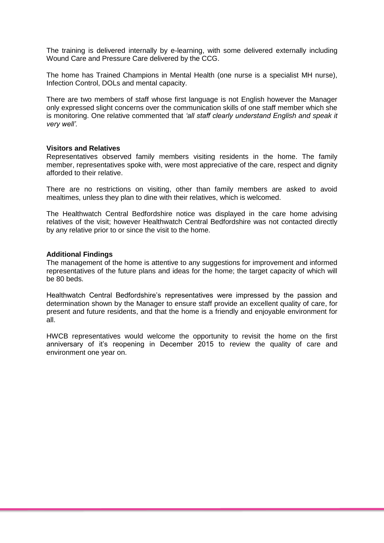The training is delivered internally by e-learning, with some delivered externally including Wound Care and Pressure Care delivered by the CCG.

The home has Trained Champions in Mental Health (one nurse is a specialist MH nurse), Infection Control, DOLs and mental capacity.

There are two members of staff whose first language is not English however the Manager only expressed slight concerns over the communication skills of one staff member which she is monitoring. One relative commented that *'all staff clearly understand English and speak it very well'.*

#### **Visitors and Relatives**

Representatives observed family members visiting residents in the home. The family member, representatives spoke with, were most appreciative of the care, respect and dignity afforded to their relative.

There are no restrictions on visiting, other than family members are asked to avoid mealtimes, unless they plan to dine with their relatives, which is welcomed.

The Healthwatch Central Bedfordshire notice was displayed in the care home advising relatives of the visit; however Healthwatch Central Bedfordshire was not contacted directly by any relative prior to or since the visit to the home.

#### **Additional Findings**

The management of the home is attentive to any suggestions for improvement and informed representatives of the future plans and ideas for the home; the target capacity of which will be 80 beds.

Healthwatch Central Bedfordshire's representatives were impressed by the passion and determination shown by the Manager to ensure staff provide an excellent quality of care, for present and future residents, and that the home is a friendly and enjoyable environment for all.

HWCB representatives would welcome the opportunity to revisit the home on the first anniversary of it's reopening in December 2015 to review the quality of care and environment one year on.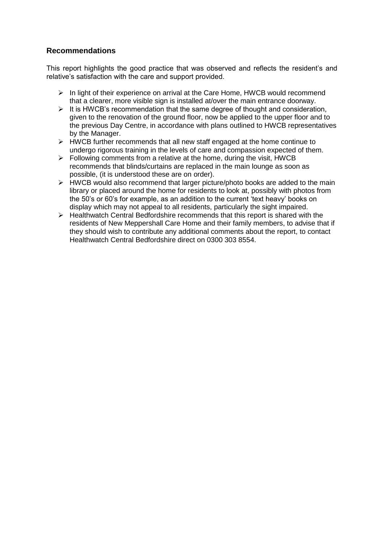# **Recommendations**

This report highlights the good practice that was observed and reflects the resident's and relative's satisfaction with the care and support provided.

- $\triangleright$  In light of their experience on arrival at the Care Home, HWCB would recommend that a clearer, more visible sign is installed at/over the main entrance doorway.
- $\triangleright$  It is HWCB's recommendation that the same degree of thought and consideration, given to the renovation of the ground floor, now be applied to the upper floor and to the previous Day Centre, in accordance with plans outlined to HWCB representatives by the Manager.
- $\triangleright$  HWCB further recommends that all new staff engaged at the home continue to undergo rigorous training in the levels of care and compassion expected of them.
- $\triangleright$  Following comments from a relative at the home, during the visit, HWCB recommends that blinds/curtains are replaced in the main lounge as soon as possible, (it is understood these are on order).
- $\triangleright$  HWCB would also recommend that larger picture/photo books are added to the main library or placed around the home for residents to look at, possibly with photos from the 50's or 60's for example, as an addition to the current 'text heavy' books on display which may not appeal to all residents, particularly the sight impaired.
- $\triangleright$  Healthwatch Central Bedfordshire recommends that this report is shared with the residents of New Meppershall Care Home and their family members, to advise that if they should wish to contribute any additional comments about the report, to contact Healthwatch Central Bedfordshire direct on 0300 303 8554.